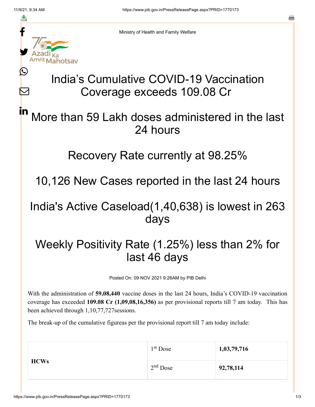≛

Ŀ

 $\bm{\nabla}$ 



Ministry of Health and Family Welfare

# India's Cumulative COVID-19 Vaccination Coverage exceeds 109.08 Cr

### More than 59 Lakh doses administered in the last 24 hours in

### Recovery Rate currently at 98.25%

10,126 New Cases reported in the last 24 hours

### India's Active Caseload(1,40,638) is lowest in 263 days

## Weekly Positivity Rate (1.25%) less than 2% for last 46 days

Posted On: 09 NOV 2021 9:26AM by PIB Delhi

With the administration of **59,08,440** vaccine doses in the last 24 hours, India's COVID-19 vaccination coverage has exceeded **109.08 Cr (1,09,08,16,356)** as per provisional reports till 7 am today. This has been achieved through 1,10,77,727sessions.

The break-up of the cumulative figureas per the provisional report till 7 am today include:

| <b>HCWs</b> | 1 <sup>st</sup> Dose | 1,03,79,716 |
|-------------|----------------------|-------------|
|             | $2nd$ Dose           | 92,78,114   |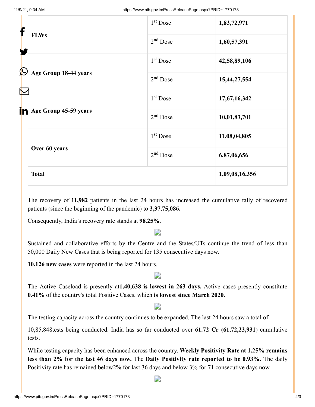| f                                                                                         |              | $1st$ Dose           | 1,83,72,971    |
|-------------------------------------------------------------------------------------------|--------------|----------------------|----------------|
| <b>FLWs</b><br>$\bigcirc$                                                                 | $2nd$ Dose   | 1,60,57,391          |                |
|                                                                                           |              | 1 <sup>st</sup> Dose | 42,58,89,106   |
| Age Group 18-44 years<br>$\color{red}\nabla$<br>in Age Group 45-59 years<br>Over 60 years | $2nd$ Dose   | 15,44,27,554         |                |
|                                                                                           |              | 1 <sup>st</sup> Dose | 17,67,16,342   |
|                                                                                           |              | $2nd$ Dose           | 10,01,83,701   |
|                                                                                           |              | $1st$ Dose           | 11,08,04,805   |
|                                                                                           |              | $2nd$ Dose           | 6,87,06,656    |
|                                                                                           | <b>Total</b> |                      | 1,09,08,16,356 |

The recovery of **11,982** patients in the last 24 hours has increased the cumulative tally of recovered patients (since the beginning of the pandemic) to **3,37,75,086.**

Consequently, India's recovery rate stands at **98.25%**.

#### D

Sustained and collaborative efforts by the Centre and the States/UTs continue the trend of less than 50,000 Daily New Cases that is being reported for 135 consecutive days now.

**10,126 new cases** were reported in the last 24 hours.

#### D

The Active Caseload is presently at**1,40,638 is lowest in 263 days.** Active cases presently constitute **0.41%** of the country's total Positive Cases, which **is lowest since March 2020.**

#### D

The testing capacity across the country continues to be expanded. The last 24 hours saw a total of

10,85,848tests being conducted. India has so far conducted over **61.72 Cr (61,72,23,931**) cumulative tests.

While testing capacity has been enhanced across the country, **Weekly Positivity Rate at 1.25% remains less than 2% for the last 46 days now.** The **Daily Positivity rate reported to be 0.93%.** The daily Positivity rate has remained below2% for last 36 days and below 3% for 71 consecutive days now.

D